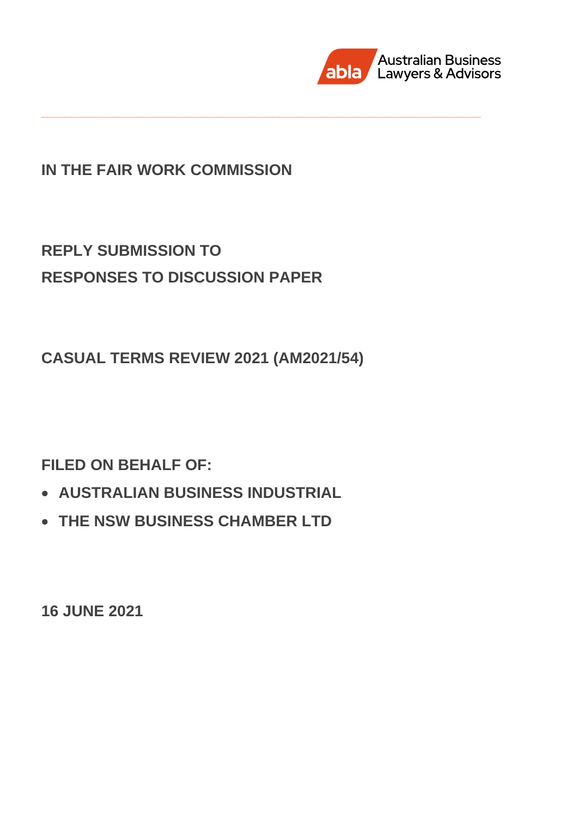

# **IN THE FAIR WORK COMMISSION**

**\_\_\_\_\_\_\_\_\_\_\_\_\_\_\_\_\_\_\_\_\_\_\_\_\_\_\_\_\_\_\_\_\_\_\_\_\_\_\_\_\_\_\_\_\_\_\_\_\_\_\_\_\_\_\_\_\_\_\_\_\_\_\_\_\_\_\_\_\_\_\_\_\_\_**

# **REPLY SUBMISSION TO RESPONSES TO DISCUSSION PAPER**

**CASUAL TERMS REVIEW 2021 (AM2021/54)**

**FILED ON BEHALF OF:**

- **AUSTRALIAN BUSINESS INDUSTRIAL**
- **THE NSW BUSINESS CHAMBER LTD**

**16 JUNE 2021**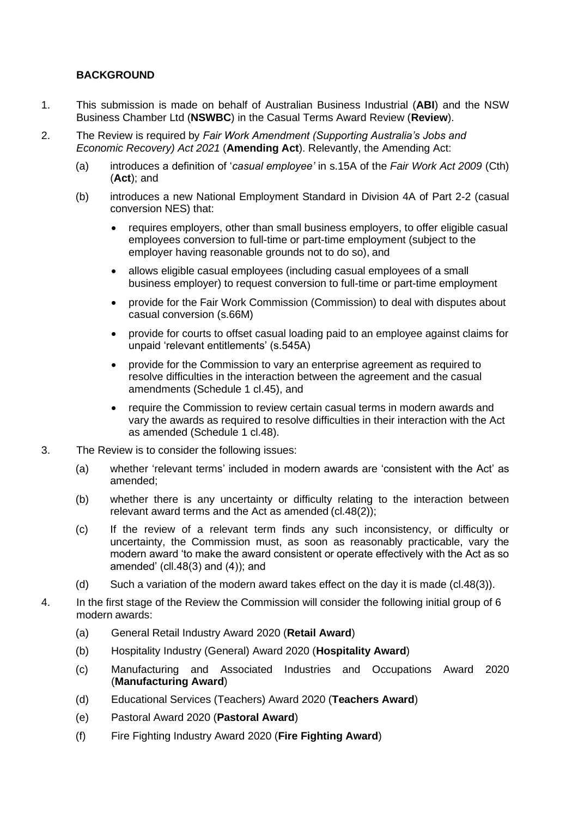## **BACKGROUND**

- 1. This submission is made on behalf of Australian Business Industrial (**ABI**) and the NSW Business Chamber Ltd (**NSWBC**) in the Casual Terms Award Review (**Review**).
- 2. The Review is required by *Fair Work Amendment (Supporting Australia's Jobs and Economic Recovery) Act 2021* (**Amending Act**). Relevantly, the Amending Act:
	- (a) introduces a definition of '*casual employee'* in s.15A of the *Fair Work Act 2009* (Cth) (**Act**); and
	- (b) introduces a new National Employment Standard in Division 4A of Part 2-2 (casual conversion NES) that:
		- requires employers, other than small business employers, to offer eligible casual employees conversion to full-time or part-time employment (subject to the employer having reasonable grounds not to do so), and
		- allows eligible casual employees (including casual employees of a small business employer) to request conversion to full-time or part-time employment
		- provide for the Fair Work Commission (Commission) to deal with disputes about casual conversion (s.66M)
		- provide for courts to offset casual loading paid to an employee against claims for unpaid 'relevant entitlements' (s.545A)
		- provide for the Commission to vary an enterprise agreement as required to resolve difficulties in the interaction between the agreement and the casual amendments (Schedule 1 cl.45), and
		- require the Commission to review certain casual terms in modern awards and vary the awards as required to resolve difficulties in their interaction with the Act as amended (Schedule 1 cl.48).
- 3. The Review is to consider the following issues:
	- (a) whether 'relevant terms' included in modern awards are 'consistent with the Act' as amended;
	- (b) whether there is any uncertainty or difficulty relating to the interaction between relevant award terms and the Act as amended (cl.48(2));
	- (c) If the review of a relevant term finds any such inconsistency, or difficulty or uncertainty, the Commission must, as soon as reasonably practicable, vary the modern award 'to make the award consistent or operate effectively with the Act as so amended' (cll.48(3) and (4)); and
	- (d) Such a variation of the modern award takes effect on the day it is made (cl.48(3)).
- 4. In the first stage of the Review the Commission will consider the following initial group of 6 modern awards:
	- (a) General Retail Industry Award 2020 (**Retail Award**)
	- (b) Hospitality Industry (General) Award 2020 (**Hospitality Award**)
	- (c) Manufacturing and Associated Industries and Occupations Award 2020 (**Manufacturing Award**)
	- (d) Educational Services (Teachers) Award 2020 (**Teachers Award**)
	- (e) Pastoral Award 2020 (**Pastoral Award**)
	- (f) Fire Fighting Industry Award 2020 (**Fire Fighting Award**)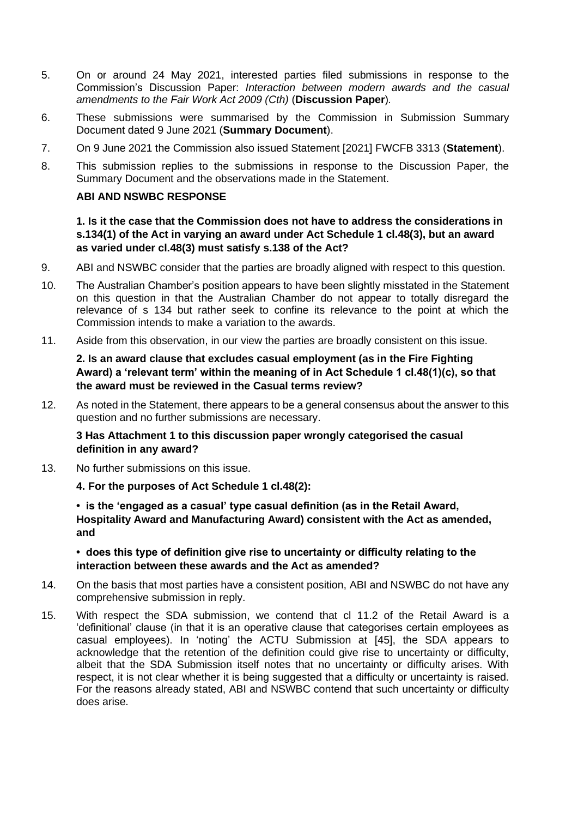- 5. On or around 24 May 2021, interested parties filed submissions in response to the Commission's Discussion Paper: *Interaction between modern awards and the casual amendments to the Fair Work Act 2009 (Cth)* (**Discussion Paper**)*.*
- 6. These submissions were summarised by the Commission in Submission Summary Document dated 9 June 2021 (**Summary Document**).
- 7. On 9 June 2021 the Commission also issued Statement [2021] FWCFB 3313 (**Statement**).
- 8. This submission replies to the submissions in response to the Discussion Paper, the Summary Document and the observations made in the Statement.

#### **ABI AND NSWBC RESPONSE**

**1. Is it the case that the Commission does not have to address the considerations in s.134(1) of the Act in varying an award under Act Schedule 1 cl.48(3), but an award as varied under cl.48(3) must satisfy s.138 of the Act?**

- 9. ABI and NSWBC consider that the parties are broadly aligned with respect to this question.
- 10. The Australian Chamber's position appears to have been slightly misstated in the Statement on this question in that the Australian Chamber do not appear to totally disregard the relevance of s 134 but rather seek to confine its relevance to the point at which the Commission intends to make a variation to the awards.
- 11. Aside from this observation, in our view the parties are broadly consistent on this issue.

**2. Is an award clause that excludes casual employment (as in the Fire Fighting Award) a 'relevant term' within the meaning of in Act Schedule 1 cl.48(1)(c), so that the award must be reviewed in the Casual terms review?**

12. As noted in the Statement, there appears to be a general consensus about the answer to this question and no further submissions are necessary.

**3 Has Attachment 1 to this discussion paper wrongly categorised the casual definition in any award?**

13. No further submissions on this issue.

**4. For the purposes of Act Schedule 1 cl.48(2):**

**• is the 'engaged as a casual' type casual definition (as in the Retail Award, Hospitality Award and Manufacturing Award) consistent with the Act as amended, and**

**• does this type of definition give rise to uncertainty or difficulty relating to the interaction between these awards and the Act as amended?**

- 14. On the basis that most parties have a consistent position, ABI and NSWBC do not have any comprehensive submission in reply.
- 15. With respect the SDA submission, we contend that cl 11.2 of the Retail Award is a 'definitional' clause (in that it is an operative clause that categorises certain employees as casual employees). In 'noting' the ACTU Submission at [45], the SDA appears to acknowledge that the retention of the definition could give rise to uncertainty or difficulty, albeit that the SDA Submission itself notes that no uncertainty or difficulty arises. With respect, it is not clear whether it is being suggested that a difficulty or uncertainty is raised. For the reasons already stated, ABI and NSWBC contend that such uncertainty or difficulty does arise.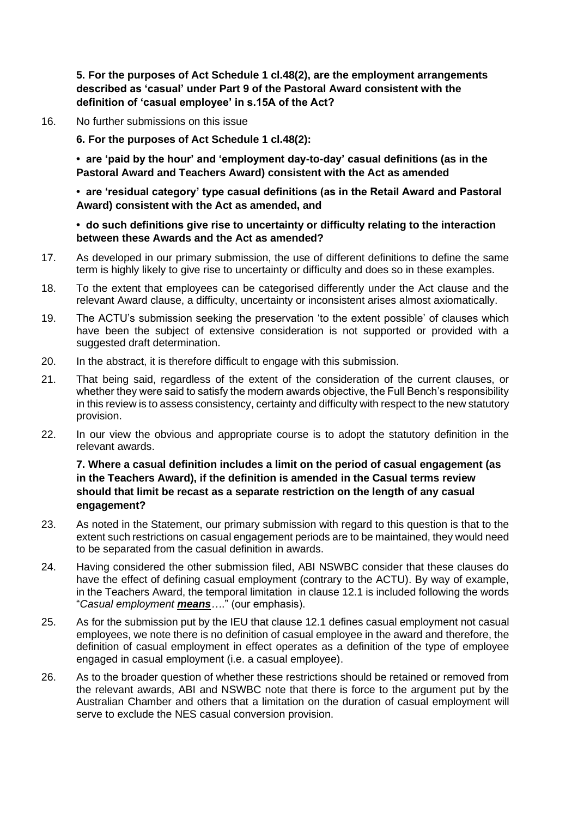**5. For the purposes of Act Schedule 1 cl.48(2), are the employment arrangements described as 'casual' under Part 9 of the Pastoral Award consistent with the definition of 'casual employee' in s.15A of the Act?**

16. No further submissions on this issue

**6. For the purposes of Act Schedule 1 cl.48(2):**

**• are 'paid by the hour' and 'employment day-to-day' casual definitions (as in the Pastoral Award and Teachers Award) consistent with the Act as amended**

**• are 'residual category' type casual definitions (as in the Retail Award and Pastoral Award) consistent with the Act as amended, and**

#### **• do such definitions give rise to uncertainty or difficulty relating to the interaction between these Awards and the Act as amended?**

- 17. As developed in our primary submission, the use of different definitions to define the same term is highly likely to give rise to uncertainty or difficulty and does so in these examples.
- 18. To the extent that employees can be categorised differently under the Act clause and the relevant Award clause, a difficulty, uncertainty or inconsistent arises almost axiomatically.
- 19. The ACTU's submission seeking the preservation 'to the extent possible' of clauses which have been the subject of extensive consideration is not supported or provided with a suggested draft determination.
- 20. In the abstract, it is therefore difficult to engage with this submission.
- 21. That being said, regardless of the extent of the consideration of the current clauses, or whether they were said to satisfy the modern awards objective, the Full Bench's responsibility in this review is to assess consistency, certainty and difficulty with respect to the new statutory provision.
- 22. In our view the obvious and appropriate course is to adopt the statutory definition in the relevant awards.

#### **7. Where a casual definition includes a limit on the period of casual engagement (as in the Teachers Award), if the definition is amended in the Casual terms review should that limit be recast as a separate restriction on the length of any casual engagement?**

- 23. As noted in the Statement, our primary submission with regard to this question is that to the extent such restrictions on casual engagement periods are to be maintained, they would need to be separated from the casual definition in awards.
- 24. Having considered the other submission filed, ABI NSWBC consider that these clauses do have the effect of defining casual employment (contrary to the ACTU). By way of example, in the Teachers Award, the temporal limitation in clause 12.1 is included following the words "*Casual employment means…*." (our emphasis).
- 25. As for the submission put by the IEU that clause 12.1 defines casual employment not casual employees, we note there is no definition of casual employee in the award and therefore, the definition of casual employment in effect operates as a definition of the type of employee engaged in casual employment (i.e. a casual employee).
- 26. As to the broader question of whether these restrictions should be retained or removed from the relevant awards, ABI and NSWBC note that there is force to the argument put by the Australian Chamber and others that a limitation on the duration of casual employment will serve to exclude the NES casual conversion provision.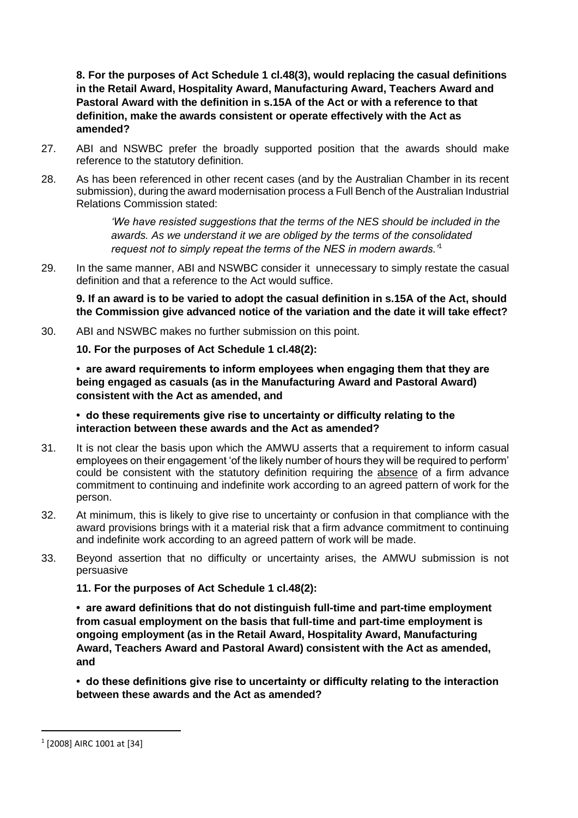**8. For the purposes of Act Schedule 1 cl.48(3), would replacing the casual definitions in the Retail Award, Hospitality Award, Manufacturing Award, Teachers Award and Pastoral Award with the definition in s.15A of the Act or with a reference to that definition, make the awards consistent or operate effectively with the Act as amended?**

- 27. ABI and NSWBC prefer the broadly supported position that the awards should make reference to the statutory definition.
- 28. As has been referenced in other recent cases (and by the Australian Chamber in its recent submission), during the award modernisation process a Full Bench of the Australian Industrial Relations Commission stated:

*'We have resisted suggestions that the terms of the NES should be included in the awards. As we understand it we are obliged by the terms of the consolidated request not to simply repeat the terms of the NES in modern awards.'*<sup>1</sup>

29. In the same manner, ABI and NSWBC consider it unnecessary to simply restate the casual definition and that a reference to the Act would suffice.

**9. If an award is to be varied to adopt the casual definition in s.15A of the Act, should the Commission give advanced notice of the variation and the date it will take effect?**

30. ABI and NSWBC makes no further submission on this point.

**10. For the purposes of Act Schedule 1 cl.48(2):**

**• are award requirements to inform employees when engaging them that they are being engaged as casuals (as in the Manufacturing Award and Pastoral Award) consistent with the Act as amended, and**

**• do these requirements give rise to uncertainty or difficulty relating to the interaction between these awards and the Act as amended?**

- 31. It is not clear the basis upon which the AMWU asserts that a requirement to inform casual employees on their engagement 'of the likely number of hours they will be required to perform' could be consistent with the statutory definition requiring the absence of a firm advance commitment to continuing and indefinite work according to an agreed pattern of work for the person.
- 32. At minimum, this is likely to give rise to uncertainty or confusion in that compliance with the award provisions brings with it a material risk that a firm advance commitment to continuing and indefinite work according to an agreed pattern of work will be made.
- 33. Beyond assertion that no difficulty or uncertainty arises, the AMWU submission is not persuasive

**11. For the purposes of Act Schedule 1 cl.48(2):**

**• are award definitions that do not distinguish full-time and part-time employment from casual employment on the basis that full-time and part-time employment is ongoing employment (as in the Retail Award, Hospitality Award, Manufacturing Award, Teachers Award and Pastoral Award) consistent with the Act as amended, and**

**• do these definitions give rise to uncertainty or difficulty relating to the interaction between these awards and the Act as amended?**

<sup>1</sup> [2008] AIRC 1001 at [34]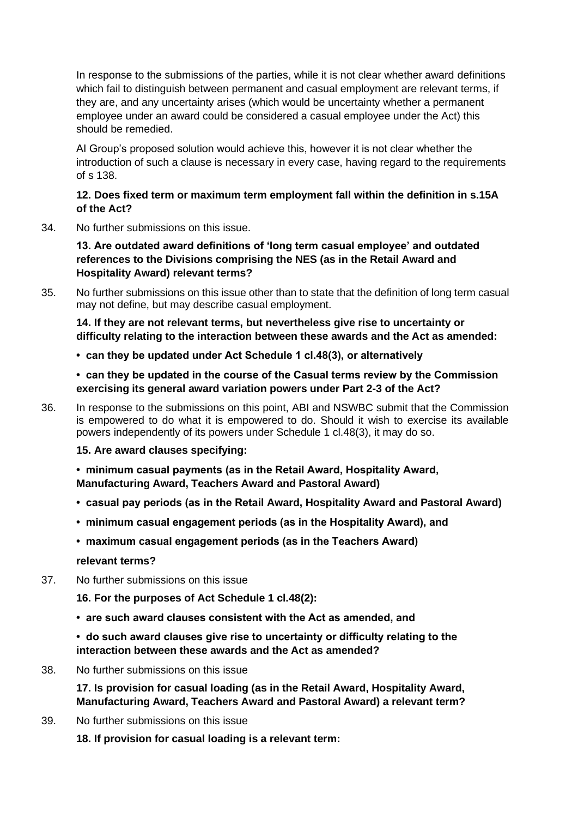In response to the submissions of the parties, while it is not clear whether award definitions which fail to distinguish between permanent and casual employment are relevant terms, if they are, and any uncertainty arises (which would be uncertainty whether a permanent employee under an award could be considered a casual employee under the Act) this should be remedied.

AI Group's proposed solution would achieve this, however it is not clear whether the introduction of such a clause is necessary in every case, having regard to the requirements of s 138.

#### **12. Does fixed term or maximum term employment fall within the definition in s.15A of the Act?**

34. No further submissions on this issue.

**13. Are outdated award definitions of 'long term casual employee' and outdated references to the Divisions comprising the NES (as in the Retail Award and Hospitality Award) relevant terms?**

35. No further submissions on this issue other than to state that the definition of long term casual may not define, but may describe casual employment.

**14. If they are not relevant terms, but nevertheless give rise to uncertainty or difficulty relating to the interaction between these awards and the Act as amended:**

**• can they be updated under Act Schedule 1 cl.48(3), or alternatively**

**• can they be updated in the course of the Casual terms review by the Commission exercising its general award variation powers under Part 2-3 of the Act?**

36. In response to the submissions on this point, ABI and NSWBC submit that the Commission is empowered to do what it is empowered to do. Should it wish to exercise its available powers independently of its powers under Schedule 1 cl.48(3), it may do so.

#### **15. Are award clauses specifying:**

**• minimum casual payments (as in the Retail Award, Hospitality Award, Manufacturing Award, Teachers Award and Pastoral Award)**

- **casual pay periods (as in the Retail Award, Hospitality Award and Pastoral Award)**
- **minimum casual engagement periods (as in the Hospitality Award), and**
- **maximum casual engagement periods (as in the Teachers Award)**

**relevant terms?**

37. No further submissions on this issue

**16. For the purposes of Act Schedule 1 cl.48(2):**

**• are such award clauses consistent with the Act as amended, and**

**• do such award clauses give rise to uncertainty or difficulty relating to the interaction between these awards and the Act as amended?**

38. No further submissions on this issue

**17. Is provision for casual loading (as in the Retail Award, Hospitality Award, Manufacturing Award, Teachers Award and Pastoral Award) a relevant term?**

39. No further submissions on this issue

**18. If provision for casual loading is a relevant term:**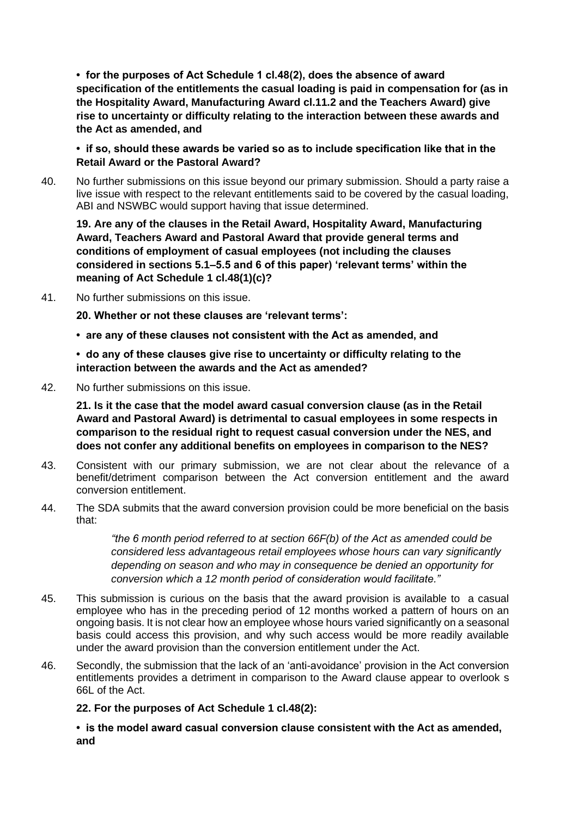**• for the purposes of Act Schedule 1 cl.48(2), does the absence of award specification of the entitlements the casual loading is paid in compensation for (as in the Hospitality Award, Manufacturing Award cl.11.2 and the Teachers Award) give rise to uncertainty or difficulty relating to the interaction between these awards and the Act as amended, and**

**• if so, should these awards be varied so as to include specification like that in the Retail Award or the Pastoral Award?**

40. No further submissions on this issue beyond our primary submission. Should a party raise a live issue with respect to the relevant entitlements said to be covered by the casual loading, ABI and NSWBC would support having that issue determined.

**19. Are any of the clauses in the Retail Award, Hospitality Award, Manufacturing Award, Teachers Award and Pastoral Award that provide general terms and conditions of employment of casual employees (not including the clauses considered in sections 5.1–5.5 and 6 of this paper) 'relevant terms' within the meaning of Act Schedule 1 cl.48(1)(c)?**

41. No further submissions on this issue.

**20. Whether or not these clauses are 'relevant terms':**

**• are any of these clauses not consistent with the Act as amended, and**

**• do any of these clauses give rise to uncertainty or difficulty relating to the interaction between the awards and the Act as amended?**

42. No further submissions on this issue.

**21. Is it the case that the model award casual conversion clause (as in the Retail Award and Pastoral Award) is detrimental to casual employees in some respects in comparison to the residual right to request casual conversion under the NES, and does not confer any additional benefits on employees in comparison to the NES?**

- 43. Consistent with our primary submission, we are not clear about the relevance of a benefit/detriment comparison between the Act conversion entitlement and the award conversion entitlement.
- 44. The SDA submits that the award conversion provision could be more beneficial on the basis that:

*"the 6 month period referred to at section 66F(b) of the Act as amended could be considered less advantageous retail employees whose hours can vary significantly depending on season and who may in consequence be denied an opportunity for conversion which a 12 month period of consideration would facilitate."*

- 45. This submission is curious on the basis that the award provision is available to a casual employee who has in the preceding period of 12 months worked a pattern of hours on an ongoing basis. It is not clear how an employee whose hours varied significantly on a seasonal basis could access this provision, and why such access would be more readily available under the award provision than the conversion entitlement under the Act.
- 46. Secondly, the submission that the lack of an 'anti-avoidance' provision in the Act conversion entitlements provides a detriment in comparison to the Award clause appear to overlook s 66L of the Act.

#### **22. For the purposes of Act Schedule 1 cl.48(2):**

**• is the model award casual conversion clause consistent with the Act as amended, and**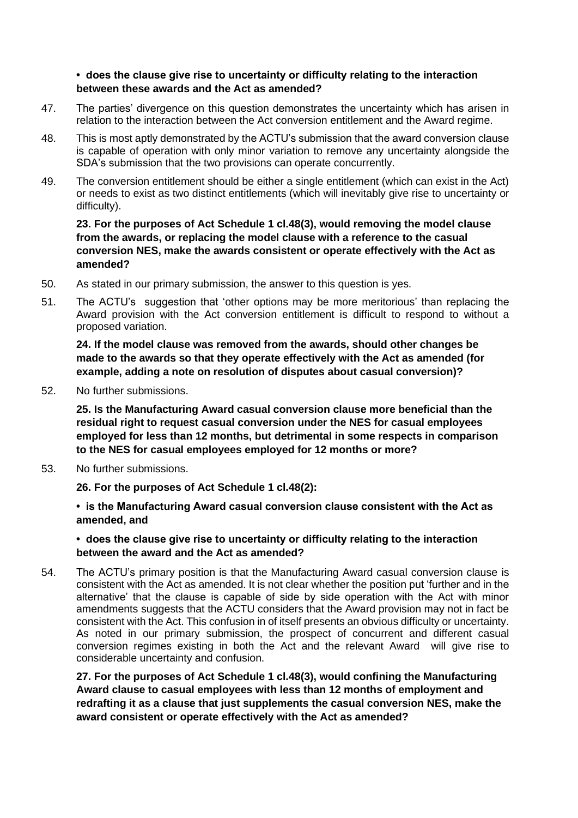#### **• does the clause give rise to uncertainty or difficulty relating to the interaction between these awards and the Act as amended?**

- 47. The parties' divergence on this question demonstrates the uncertainty which has arisen in relation to the interaction between the Act conversion entitlement and the Award regime.
- 48. This is most aptly demonstrated by the ACTU's submission that the award conversion clause is capable of operation with only minor variation to remove any uncertainty alongside the SDA's submission that the two provisions can operate concurrently.
- 49. The conversion entitlement should be either a single entitlement (which can exist in the Act) or needs to exist as two distinct entitlements (which will inevitably give rise to uncertainty or difficulty).

#### **23. For the purposes of Act Schedule 1 cl.48(3), would removing the model clause from the awards, or replacing the model clause with a reference to the casual conversion NES, make the awards consistent or operate effectively with the Act as amended?**

- 50. As stated in our primary submission, the answer to this question is yes.
- 51. The ACTU's suggestion that 'other options may be more meritorious' than replacing the Award provision with the Act conversion entitlement is difficult to respond to without a proposed variation.

**24. If the model clause was removed from the awards, should other changes be made to the awards so that they operate effectively with the Act as amended (for example, adding a note on resolution of disputes about casual conversion)?**

52. No further submissions.

**25. Is the Manufacturing Award casual conversion clause more beneficial than the residual right to request casual conversion under the NES for casual employees employed for less than 12 months, but detrimental in some respects in comparison to the NES for casual employees employed for 12 months or more?**

53. No further submissions.

**26. For the purposes of Act Schedule 1 cl.48(2):**

**• is the Manufacturing Award casual conversion clause consistent with the Act as amended, and**

**• does the clause give rise to uncertainty or difficulty relating to the interaction between the award and the Act as amended?**

54. The ACTU's primary position is that the Manufacturing Award casual conversion clause is consistent with the Act as amended. It is not clear whether the position put 'further and in the alternative' that the clause is capable of side by side operation with the Act with minor amendments suggests that the ACTU considers that the Award provision may not in fact be consistent with the Act. This confusion in of itself presents an obvious difficulty or uncertainty. As noted in our primary submission, the prospect of concurrent and different casual conversion regimes existing in both the Act and the relevant Award will give rise to considerable uncertainty and confusion.

**27. For the purposes of Act Schedule 1 cl.48(3), would confining the Manufacturing Award clause to casual employees with less than 12 months of employment and redrafting it as a clause that just supplements the casual conversion NES, make the award consistent or operate effectively with the Act as amended?**